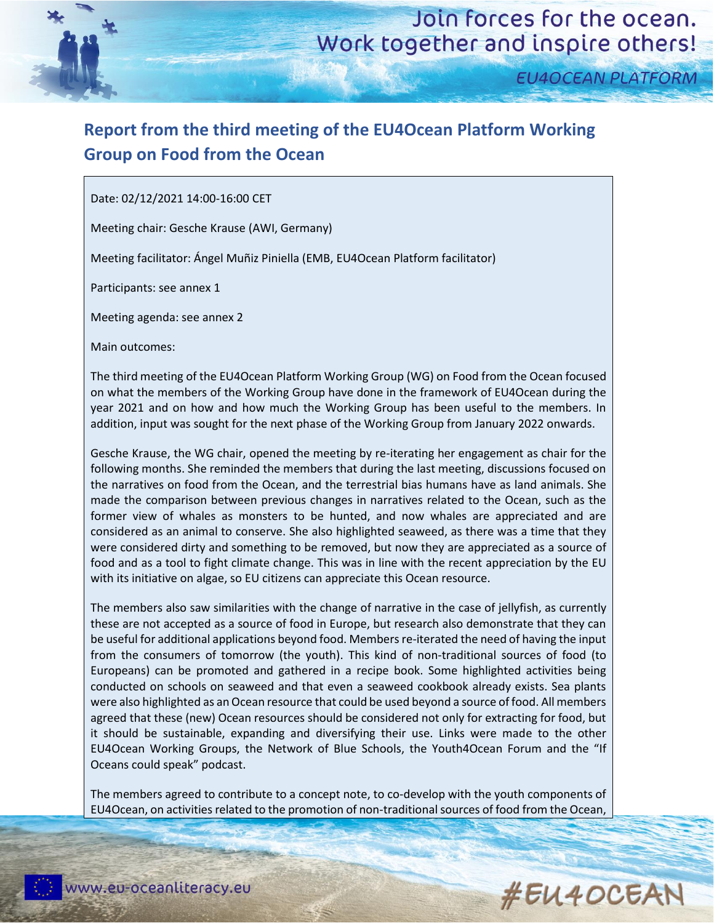

**EU4OCEAN PLATFORM** 

## **Report from the third meeting of the EU4Ocean Platform Working Group on Food from the Ocean**

Date: 02/12/2021 14:00-16:00 CET

Meeting chair: Gesche Krause (AWI, Germany)

Meeting facilitator: Ángel Muñiz Piniella (EMB, EU4Ocean Platform facilitator)

Participants: see annex 1

Meeting agenda: see annex 2

Main outcomes:

The third meeting of the EU4Ocean Platform Working Group (WG) on Food from the Ocean focused on what the members of the Working Group have done in the framework of EU4Ocean during the year 2021 and on how and how much the Working Group has been useful to the members. In addition, input was sought for the next phase of the Working Group from January 2022 onwards.

Gesche Krause, the WG chair, opened the meeting by re-iterating her engagement as chair for the following months. She reminded the members that during the last meeting, discussions focused on the narratives on food from the Ocean, and the terrestrial bias humans have as land animals. She made the comparison between previous changes in narratives related to the Ocean, such as the former view of whales as monsters to be hunted, and now whales are appreciated and are considered as an animal to conserve. She also highlighted seaweed, as there was a time that they were considered dirty and something to be removed, but now they are appreciated as a source of food and as a tool to fight climate change. This was in line with the recent appreciation by the EU with its initiative on algae, so EU citizens can appreciate this Ocean resource.

The members also saw similarities with the change of narrative in the case of jellyfish, as currently these are not accepted as a source of food in Europe, but research also demonstrate that they can be useful for additional applications beyond food. Members re-iterated the need of having the input from the consumers of tomorrow (the youth). This kind of non-traditional sources of food (to Europeans) can be promoted and gathered in a recipe book. Some highlighted activities being conducted on schools on seaweed and that even a seaweed cookbook already exists. Sea plants were also highlighted as an Ocean resource that could be used beyond a source of food. All members agreed that these (new) Ocean resources should be considered not only for extracting for food, but it should be sustainable, expanding and diversifying their use. Links were made to the other EU4Ocean Working Groups, the Network of Blue Schools, the Youth4Ocean Forum and the "If Oceans could speak" podcast.

The members agreed to contribute to a concept note, to co-develop with the youth components of EU4Ocean, on activities related to the promotion of non-traditional sources of food from the Ocean,

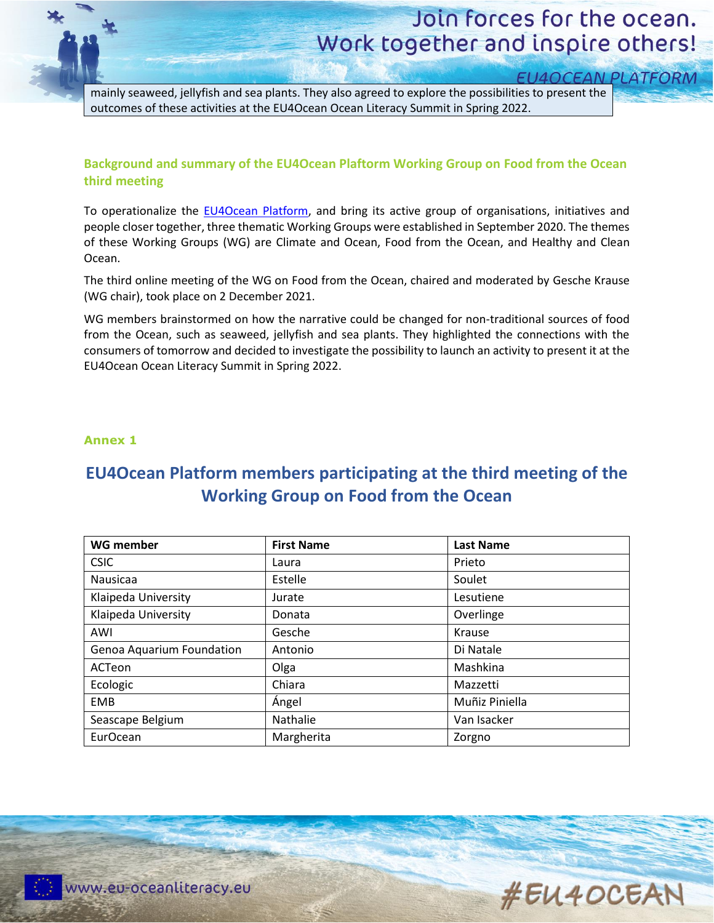# Join forces for the ocean. Work together and inspire others!

**EU4OCEAN PLATFORM** 

mainly seaweed, jellyfish and sea plants. They also agreed to explore the possibilities to present the outcomes of these activities at the EU4Ocean Ocean Literacy Summit in Spring 2022.

### **Background and summary of the EU4Ocean Plaftorm Working Group on Food from the Ocean third meeting**

To operationalize the [EU4Ocean Platform,](https://webgate.ec.europa.eu/maritimeforum/en/frontpage/1483) and bring its active group of organisations, initiatives and people closer together, three thematic Working Groups were established in September 2020. The themes of these Working Groups (WG) are Climate and Ocean, Food from the Ocean, and Healthy and Clean Ocean.

The third online meeting of the WG on Food from the Ocean, chaired and moderated by Gesche Krause (WG chair), took place on 2 December 2021.

WG members brainstormed on how the narrative could be changed for non-traditional sources of food from the Ocean, such as seaweed, jellyfish and sea plants. They highlighted the connections with the consumers of tomorrow and decided to investigate the possibility to launch an activity to present it at the EU4Ocean Ocean Literacy Summit in Spring 2022.

### **Annex 1**

### **EU4Ocean Platform members participating at the third meeting of the Working Group on Food from the Ocean**

| <b>WG member</b>          | <b>First Name</b> | <b>Last Name</b> |
|---------------------------|-------------------|------------------|
| <b>CSIC</b>               | Laura             | Prieto           |
| Nausicaa                  | Estelle           | Soulet           |
| Klaipeda University       | Jurate            | Lesutiene        |
| Klaipeda University       | Donata            | Overlinge        |
| AWI                       | Gesche            | Krause           |
| Genoa Aquarium Foundation | Antonio           | Di Natale        |
| ACTeon                    | Olga              | Mashkina         |
| Ecologic                  | Chiara            | Mazzetti         |
| <b>EMB</b>                | Ángel             | Muñiz Piniella   |
| Seascape Belgium          | Nathalie          | Van Isacker      |
| EurOcean                  | Margherita        | Zorgno           |